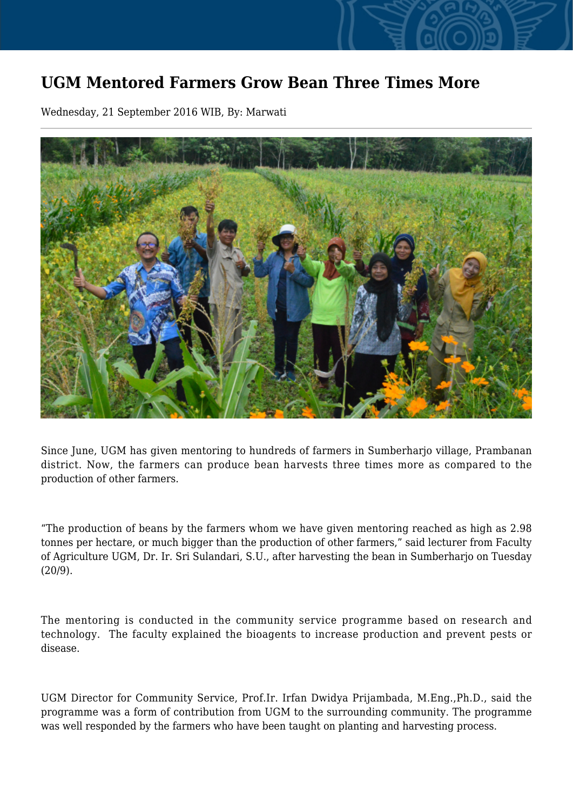## **UGM Mentored Farmers Grow Bean Three Times More**

Wednesday, 21 September 2016 WIB, By: Marwati



Since June, UGM has given mentoring to hundreds of farmers in Sumberharjo village, Prambanan district. Now, the farmers can produce bean harvests three times more as compared to the production of other farmers.

"The production of beans by the farmers whom we have given mentoring reached as high as 2.98 tonnes per hectare, or much bigger than the production of other farmers," said lecturer from Faculty of Agriculture UGM, Dr. Ir. Sri Sulandari, S.U., after harvesting the bean in Sumberharjo on Tuesday (20/9).

The mentoring is conducted in the community service programme based on research and technology. The faculty explained the bioagents to increase production and prevent pests or disease.

UGM Director for Community Service, Prof.Ir. Irfan Dwidya Prijambada, M.Eng.,Ph.D., said the programme was a form of contribution from UGM to the surrounding community. The programme was well responded by the farmers who have been taught on planting and harvesting process.